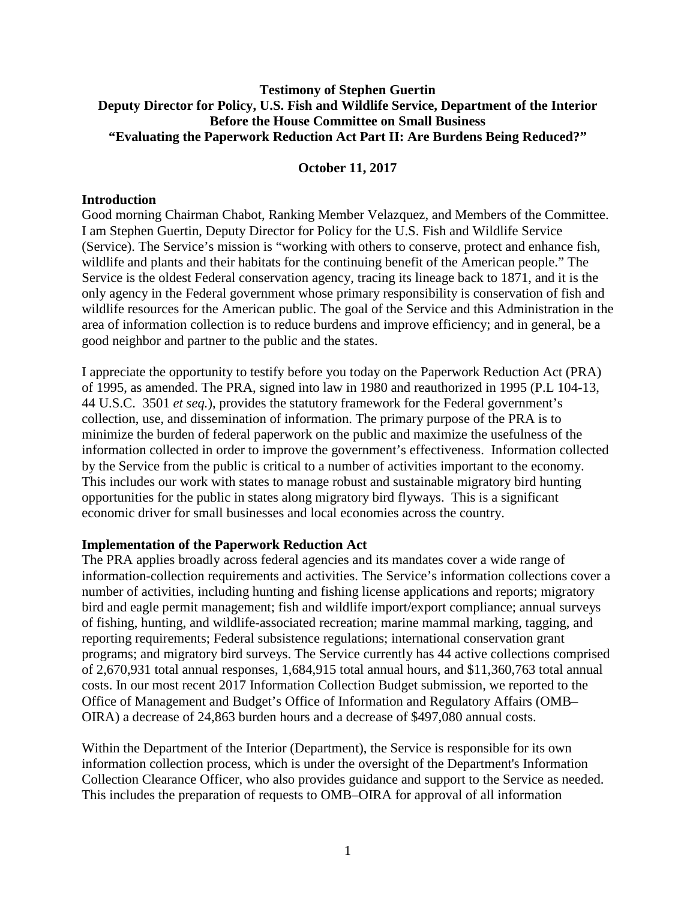# **Testimony of Stephen Guertin Deputy Director for Policy, U.S. Fish and Wildlife Service, Department of the Interior Before the House Committee on Small Business "Evaluating the Paperwork Reduction Act Part II: Are Burdens Being Reduced?"**

### **October 11, 2017**

#### **Introduction**

Good morning Chairman Chabot, Ranking Member Velazquez, and Members of the Committee. I am Stephen Guertin, Deputy Director for Policy for the U.S. Fish and Wildlife Service (Service). The Service's mission is "working with others to conserve, protect and enhance fish, wildlife and plants and their habitats for the continuing benefit of the American people." The Service is the oldest Federal conservation agency, tracing its lineage back to 1871, and it is the only agency in the Federal government whose primary responsibility is conservation of fish and wildlife resources for the American public. The goal of the Service and this Administration in the area of information collection is to reduce burdens and improve efficiency; and in general, be a good neighbor and partner to the public and the states.

I appreciate the opportunity to testify before you today on the Paperwork Reduction Act (PRA) of 1995, as amended. The PRA, signed into law in 1980 and reauthorized in 1995 (P.L 104-13, 44 U.S.C. 3501 *et seq.*), provides the statutory framework for the Federal government's collection, use, and dissemination of information. The primary purpose of the PRA is to minimize the burden of federal paperwork on the public and maximize the usefulness of the information collected in order to improve the government's effectiveness. Information collected by the Service from the public is critical to a number of activities important to the economy. This includes our work with states to manage robust and sustainable migratory bird hunting opportunities for the public in states along migratory bird flyways. This is a significant economic driver for small businesses and local economies across the country.

#### **Implementation of the Paperwork Reduction Act**

The PRA applies broadly across federal agencies and its mandates cover a wide range of information-collection requirements and activities. The Service's information collections cover a number of activities, including hunting and fishing license applications and reports; migratory bird and eagle permit management; fish and wildlife import/export compliance; annual surveys of fishing, hunting, and wildlife-associated recreation; marine mammal marking, tagging, and reporting requirements; Federal subsistence regulations; international conservation grant programs; and migratory bird surveys. The Service currently has 44 active collections comprised of 2,670,931 total annual responses, 1,684,915 total annual hours, and \$11,360,763 total annual costs. In our most recent 2017 Information Collection Budget submission, we reported to the Office of Management and Budget's Office of Information and Regulatory Affairs (OMB– OIRA) a decrease of 24,863 burden hours and a decrease of \$497,080 annual costs.

Within the Department of the Interior (Department), the Service is responsible for its own information collection process, which is under the oversight of the Department's Information Collection Clearance Officer, who also provides guidance and support to the Service as needed. This includes the preparation of requests to OMB–OIRA for approval of all information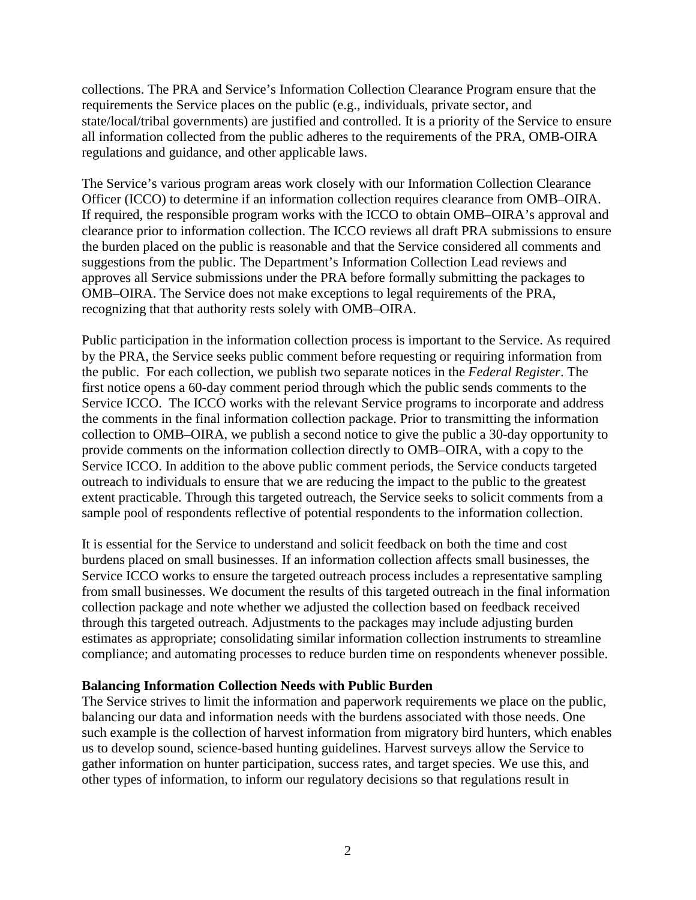collections. The PRA and Service's Information Collection Clearance Program ensure that the requirements the Service places on the public (e.g., individuals, private sector, and state/local/tribal governments) are justified and controlled. It is a priority of the Service to ensure all information collected from the public adheres to the requirements of the PRA, OMB-OIRA regulations and guidance, and other applicable laws.

The Service's various program areas work closely with our Information Collection Clearance Officer (ICCO) to determine if an information collection requires clearance from OMB–OIRA. If required, the responsible program works with the ICCO to obtain OMB–OIRA's approval and clearance prior to information collection. The ICCO reviews all draft PRA submissions to ensure the burden placed on the public is reasonable and that the Service considered all comments and suggestions from the public. The Department's Information Collection Lead reviews and approves all Service submissions under the PRA before formally submitting the packages to OMB–OIRA. The Service does not make exceptions to legal requirements of the PRA, recognizing that that authority rests solely with OMB–OIRA.

Public participation in the information collection process is important to the Service. As required by the PRA, the Service seeks public comment before requesting or requiring information from the public. For each collection, we publish two separate notices in the *Federal Register*. The first notice opens a 60-day comment period through which the public sends comments to the Service ICCO. The ICCO works with the relevant Service programs to incorporate and address the comments in the final information collection package. Prior to transmitting the information collection to OMB–OIRA, we publish a second notice to give the public a 30-day opportunity to provide comments on the information collection directly to OMB–OIRA, with a copy to the Service ICCO. In addition to the above public comment periods, the Service conducts targeted outreach to individuals to ensure that we are reducing the impact to the public to the greatest extent practicable. Through this targeted outreach, the Service seeks to solicit comments from a sample pool of respondents reflective of potential respondents to the information collection.

It is essential for the Service to understand and solicit feedback on both the time and cost burdens placed on small businesses. If an information collection affects small businesses, the Service ICCO works to ensure the targeted outreach process includes a representative sampling from small businesses. We document the results of this targeted outreach in the final information collection package and note whether we adjusted the collection based on feedback received through this targeted outreach. Adjustments to the packages may include adjusting burden estimates as appropriate; consolidating similar information collection instruments to streamline compliance; and automating processes to reduce burden time on respondents whenever possible.

#### **Balancing Information Collection Needs with Public Burden**

The Service strives to limit the information and paperwork requirements we place on the public, balancing our data and information needs with the burdens associated with those needs. One such example is the collection of harvest information from migratory bird hunters, which enables us to develop sound, science-based hunting guidelines. Harvest surveys allow the Service to gather information on hunter participation, success rates, and target species. We use this, and other types of information, to inform our regulatory decisions so that regulations result in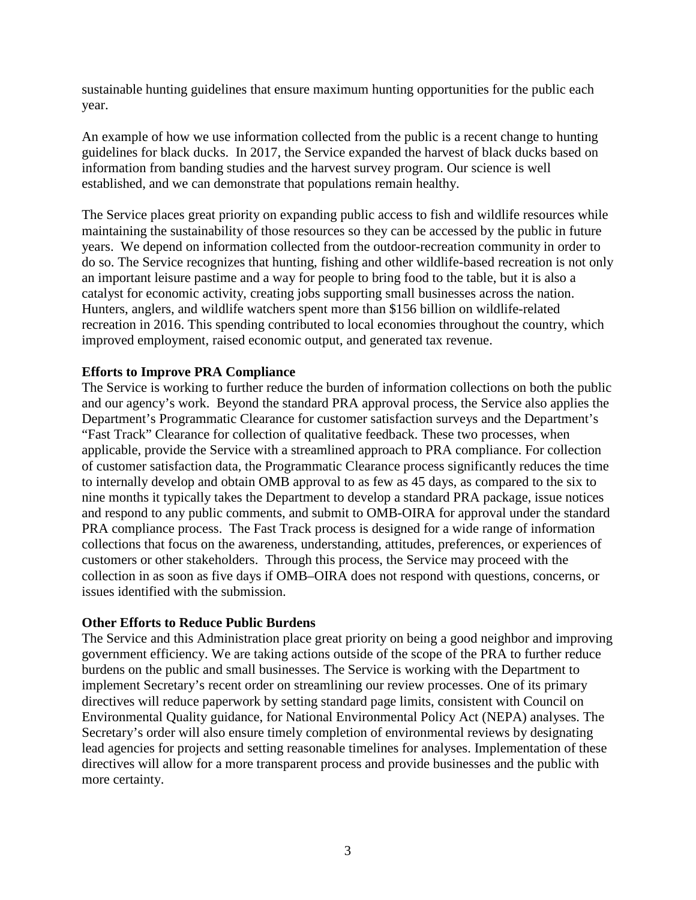sustainable hunting guidelines that ensure maximum hunting opportunities for the public each year.

An example of how we use information collected from the public is a recent change to hunting guidelines for black ducks. In 2017, the Service expanded the harvest of black ducks based on information from banding studies and the harvest survey program. Our science is well established, and we can demonstrate that populations remain healthy.

The Service places great priority on expanding public access to fish and wildlife resources while maintaining the sustainability of those resources so they can be accessed by the public in future years. We depend on information collected from the outdoor-recreation community in order to do so. The Service recognizes that hunting, fishing and other wildlife-based recreation is not only an important leisure pastime and a way for people to bring food to the table, but it is also a catalyst for economic activity, creating jobs supporting small businesses across the nation. Hunters, anglers, and wildlife watchers spent more than \$156 billion on wildlife-related recreation in 2016. This spending contributed to local economies throughout the country, which improved employment, raised economic output, and generated tax revenue.

## **Efforts to Improve PRA Compliance**

The Service is working to further reduce the burden of information collections on both the public and our agency's work. Beyond the standard PRA approval process, the Service also applies the Department's Programmatic Clearance for customer satisfaction surveys and the Department's "Fast Track" Clearance for collection of qualitative feedback. These two processes, when applicable, provide the Service with a streamlined approach to PRA compliance. For collection of customer satisfaction data, the Programmatic Clearance process significantly reduces the time to internally develop and obtain OMB approval to as few as 45 days, as compared to the six to nine months it typically takes the Department to develop a standard PRA package, issue notices and respond to any public comments, and submit to OMB-OIRA for approval under the standard PRA compliance process. The Fast Track process is designed for a wide range of information collections that focus on the awareness, understanding, attitudes, preferences, or experiences of customers or other stakeholders. Through this process, the Service may proceed with the collection in as soon as five days if OMB–OIRA does not respond with questions, concerns, or issues identified with the submission.

#### **Other Efforts to Reduce Public Burdens**

The Service and this Administration place great priority on being a good neighbor and improving government efficiency. We are taking actions outside of the scope of the PRA to further reduce burdens on the public and small businesses. The Service is working with the Department to implement Secretary's recent order on streamlining our review processes. One of its primary directives will reduce paperwork by setting standard page limits, consistent with Council on Environmental Quality guidance, for National Environmental Policy Act (NEPA) analyses. The Secretary's order will also ensure timely completion of environmental reviews by designating lead agencies for projects and setting reasonable timelines for analyses. Implementation of these directives will allow for a more transparent process and provide businesses and the public with more certainty.